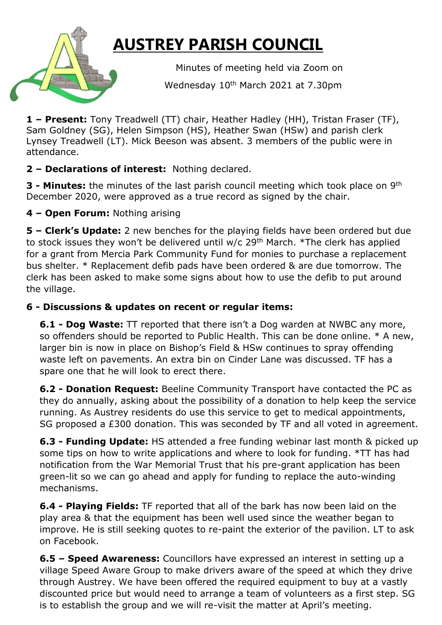## **AUSTREY PARISH COUNCIL**

Minutes of meeting held via Zoom on

Wednesday 10<sup>th</sup> March 2021 at 7.30pm

**1 – Present:** Tony Treadwell (TT) chair, Heather Hadley (HH), Tristan Fraser (TF), Sam Goldney (SG), Helen Simpson (HS), Heather Swan (HSw) and parish clerk Lynsey Treadwell (LT). Mick Beeson was absent. 3 members of the public were in attendance.

## **2 – Declarations of interest:** Nothing declared.

**3 - Minutes:** the minutes of the last parish council meeting which took place on 9<sup>th</sup> December 2020, were approved as a true record as signed by the chair.

**4 – Open Forum:** Nothing arising

**5 – Clerk's Update:** 2 new benches for the playing fields have been ordered but due to stock issues they won't be delivered until  $w/c$  29<sup>th</sup> March. \*The clerk has applied for a grant from Mercia Park Community Fund for monies to purchase a replacement bus shelter. \* Replacement defib pads have been ordered & are due tomorrow. The clerk has been asked to make some signs about how to use the defib to put around the village.

## **6 - Discussions & updates on recent or regular items:**

**6.1 - Dog Waste:** TT reported that there isn't a Dog warden at NWBC any more, so offenders should be reported to Public Health. This can be done online. \* A new, larger bin is now in place on Bishop's Field & HSw continues to spray offending waste left on pavements. An extra bin on Cinder Lane was discussed. TF has a spare one that he will look to erect there.

**6.2 - Donation Request:** Beeline Community Transport have contacted the PC as they do annually, asking about the possibility of a donation to help keep the service running. As Austrey residents do use this service to get to medical appointments, SG proposed a £300 donation. This was seconded by TF and all voted in agreement.

**6.3 - Funding Update:** HS attended a free funding webinar last month & picked up some tips on how to write applications and where to look for funding. \*TT has had notification from the War Memorial Trust that his pre-grant application has been green-lit so we can go ahead and apply for funding to replace the auto-winding mechanisms.

**6.4 - Playing Fields:** TF reported that all of the bark has now been laid on the play area & that the equipment has been well used since the weather began to improve. He is still seeking quotes to re-paint the exterior of the pavilion. LT to ask on Facebook.

**6.5 – Speed Awareness:** Councillors have expressed an interest in setting up a village Speed Aware Group to make drivers aware of the speed at which they drive through Austrey. We have been offered the required equipment to buy at a vastly discounted price but would need to arrange a team of volunteers as a first step. SG is to establish the group and we will re-visit the matter at April's meeting.